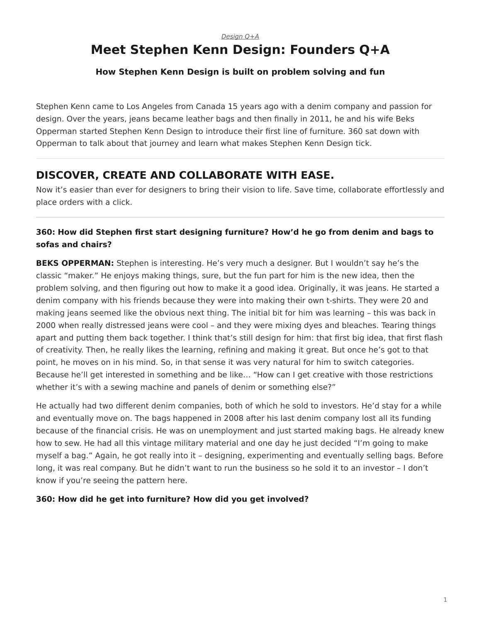#### *[Design Q+A](https://www.steelcase.com/research/topics/design-q-a/)*

# <span id="page-0-0"></span>**Meet Stephen Kenn Design: Founders Q+A**

#### **How Stephen Kenn Design is built on problem solving and fun**

Stephen Kenn came to Los Angeles from Canada 15 years ago with a denim company and passion for design. Over the years, jeans became leather bags and then finally in 2011, he and his wife Beks Opperman started Stephen Kenn Design to introduce their first line of furniture. 360 sat down with Opperman to talk about that journey and learn what makes Stephen Kenn Design tick.

## **DISCOVER, CREATE AND COLLABORATE WITH EASE.**

Now it's easier than ever for designers to bring their vision to life. Save time, collaborate effortlessly and place orders with a click.

### **360: How did Stephen first start designing furniture? How'd he go from denim and bags to sofas and chairs?**

**BEKS OPPERMAN:** Stephen is interesting. He's very much a designer. But I wouldn't say he's the classic "maker." He enjoys making things, sure, but the fun part for him is the new idea, then the problem solving, and then figuring out how to make it a good idea. Originally, it was jeans. He started a denim company with his friends because they were into making their own t-shirts. They were 20 and making jeans seemed like the obvious next thing. The initial bit for him was learning – this was back in 2000 when really distressed jeans were cool – and they were mixing dyes and bleaches. Tearing things apart and putting them back together. I think that's still design for him: that first big idea, that first flash of creativity. Then, he really likes the learning, refining and making it great. But once he's got to that point, he moves on in his mind. So, in that sense it was very natural for him to switch categories. Because he'll get interested in something and be like… "How can I get creative with those restrictions whether it's with a sewing machine and panels of denim or something else?"

He actually had two different denim companies, both of which he sold to investors. He'd stay for a while and eventually move on. The bags happened in 2008 after his last denim company lost all its funding because of the financial crisis. He was on unemployment and just started making bags. He already knew how to sew. He had all this vintage military material and one day he just decided "I'm going to make myself a bag." Again, he got really into it – designing, experimenting and eventually selling bags. Before long, it was real company. But he didn't want to run the business so he sold it to an investor – I don't know if you're seeing the pattern here.

#### **360: How did he get into furniture? How did you get involved?**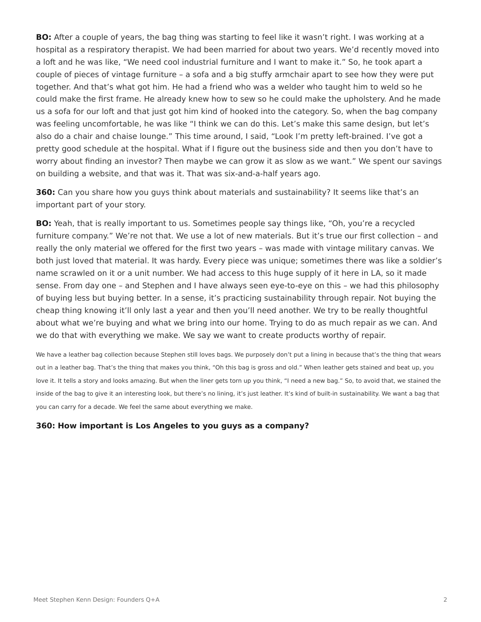**BO:** After a couple of years, the bag thing was starting to feel like it wasn't right. I was working at a hospital as a respiratory therapist. We had been married for about two years. We'd recently moved into a loft and he was like, "We need cool industrial furniture and I want to make it." So, he took apart a couple of pieces of vintage furniture – a sofa and a big stuffy armchair apart to see how they were put together. And that's what got him. He had a friend who was a welder who taught him to weld so he could make the first frame. He already knew how to sew so he could make the upholstery. And he made us a sofa for our loft and that just got him kind of hooked into the category. So, when the bag company was feeling uncomfortable, he was like "I think we can do this. Let's make this same design, but let's also do a chair and chaise lounge." This time around, I said, "Look I'm pretty left-brained. I've got a pretty good schedule at the hospital. What if I figure out the business side and then you don't have to worry about finding an investor? Then maybe we can grow it as slow as we want." We spent our savings on building a website, and that was it. That was six-and-a-half years ago.

**360:** Can you share how you guys think about materials and sustainability? It seems like that's an important part of your story.

**BO:** Yeah, that is really important to us. Sometimes people say things like, "Oh, you're a recycled furniture company." We're not that. We use a lot of new materials. But it's true our first collection – and really the only material we offered for the first two years – was made with vintage military canvas. We both just loved that material. It was hardy. Every piece was unique; sometimes there was like a soldier's name scrawled on it or a unit number. We had access to this huge supply of it here in LA, so it made sense. From day one – and Stephen and I have always seen eye-to-eye on this – we had this philosophy of buying less but buying better. In a sense, it's practicing sustainability through repair. Not buying the cheap thing knowing it'll only last a year and then you'll need another. We try to be really thoughtful about what we're buying and what we bring into our home. Trying to do as much repair as we can. And we do that with everything we make. We say we want to create products worthy of repair.

We have a leather bag collection because Stephen still loves bags. We purposely don't put a lining in because that's the thing that wears out in a leather bag. That's the thing that makes you think, "Oh this bag is gross and old." When leather gets stained and beat up, you love it. It tells a story and looks amazing. But when the liner gets torn up you think, "I need a new bag." So, to avoid that, we stained the inside of the bag to give it an interesting look, but there's no lining, it's just leather. It's kind of built-in sustainability. We want a bag that you can carry for a decade. We feel the same about everything we make.

#### **360: How important is Los Angeles to you guys as a company?**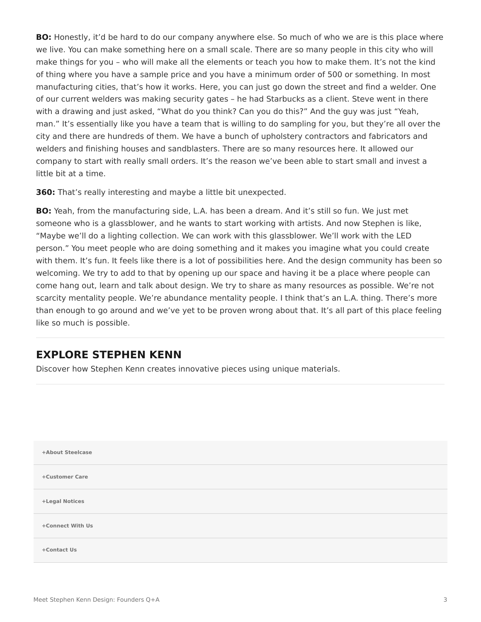**BO:** Honestly, it'd be hard to do our company anywhere else. So much of who we are is this place where we live. You can make something here on a small scale. There are so many people in this city who will make things for you – who will make all the elements or teach you how to make them. It's not the kind of thing where you have a sample price and you have a minimum order of 500 or something. In most manufacturing cities, that's how it works. Here, you can just go down the street and find a welder. One of our current welders was making security gates – he had Starbucks as a client. Steve went in there with a drawing and just asked, "What do you think? Can you do this?" And the guy was just "Yeah, man." It's essentially like you have a team that is willing to do sampling for you, but they're all over the city and there are hundreds of them. We have a bunch of upholstery contractors and fabricators and welders and finishing houses and sandblasters. There are so many resources here. It allowed our company to start with really small orders. It's the reason we've been able to start small and invest a little bit at a time.

**360:** That's really interesting and maybe a little bit unexpected.

**BO:** Yeah, from the manufacturing side, L.A. has been a dream. And it's still so fun. We just met someone who is a glassblower, and he wants to start working with artists. And now Stephen is like, "Maybe we'll do a lighting collection. We can work with this glassblower. We'll work with the LED person." You meet people who are doing something and it makes you imagine what you could create with them. It's fun. It feels like there is a lot of possibilities here. And the design community has been so welcoming. We try to add to that by opening up our space and having it be a place where people can come hang out, learn and talk about design. We try to share as many resources as possible. We're not scarcity mentality people. We're abundance mentality people. I think that's an L.A. thing. There's more than enough to go around and we've yet to be proven wrong about that. It's all part of this place feeling like so much is possible.

## **EXPLORE STEPHEN KENN**

Discover how Stephen Kenn creates innovative pieces using unique materials.